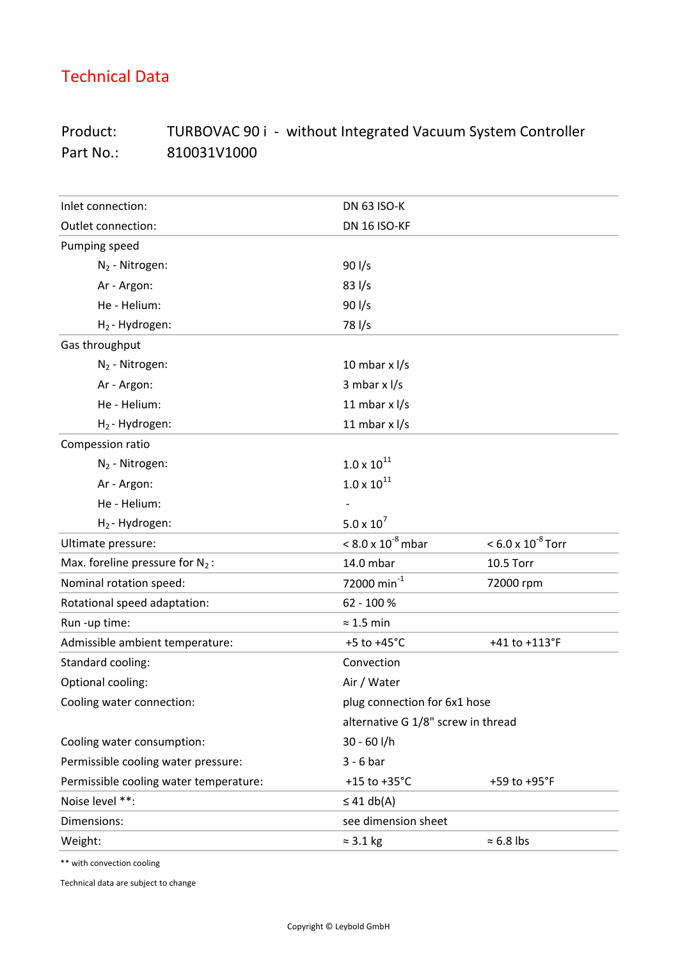## Technical Data

## Product: TURBOVAC 90 i - without Integrated Vacuum System Controller Part No.: 810031V1000

| Inlet connection:                      | <b>DN 63 ISO-K</b>                 |                             |
|----------------------------------------|------------------------------------|-----------------------------|
| Outlet connection:                     | DN 16 ISO-KF                       |                             |
| Pumping speed                          |                                    |                             |
| $N_2$ - Nitrogen:                      | $90$ I/s                           |                             |
| Ar - Argon:                            | $83$ I/s                           |                             |
| He - Helium:                           | $90$ I/s                           |                             |
| $H_2$ -Hydrogen:                       | 78 l/s                             |                             |
| Gas throughput                         |                                    |                             |
| $N_2$ - Nitrogen:                      | 10 mbar $x$ $1/s$                  |                             |
| Ar - Argon:                            | 3 mbar $x$ $1/s$                   |                             |
| He - Helium:                           | 11 mbar $x$ $1/s$                  |                             |
| $H_2$ -Hydrogen:                       | 11 mbar $x$ $1/s$                  |                             |
| Compession ratio                       |                                    |                             |
| $N_2$ - Nitrogen:                      | $1.0 \times 10^{11}$               |                             |
| Ar - Argon:                            | $1.0 \times 10^{11}$               |                             |
| He - Helium:                           |                                    |                             |
| $H_2$ -Hydrogen:                       | $5.0 \times 10^{7}$                |                             |
| Ultimate pressure:                     | $< 8.0 \times 10^{-8}$ mbar        | $< 6.0 \times 10^{-8}$ Torr |
| Max. foreline pressure for $N_2$ :     | 14.0 mbar                          | 10.5 Torr                   |
| Nominal rotation speed:                | 72000 min $^{-1}$                  | 72000 rpm                   |
| Rotational speed adaptation:           | 62 - 100 %                         |                             |
| Run -up time:                          | $\approx$ 1.5 min                  |                             |
| Admissible ambient temperature:        | +5 to $+45^{\circ}$ C              | +41 to +113°F               |
| Standard cooling:                      | Convection                         |                             |
| Optional cooling:                      | Air / Water                        |                             |
| Cooling water connection:              | plug connection for 6x1 hose       |                             |
|                                        | alternative G 1/8" screw in thread |                             |
| Cooling water consumption:             | $30 - 60$ I/h                      |                             |
| Permissible cooling water pressure:    | $3 - 6$ bar                        |                             |
| Permissible cooling water temperature: | +15 to $+35^{\circ}$ C             | +59 to +95°F                |
| Noise level **:                        | $\leq$ 41 db(A)                    |                             |
| Dimensions:                            | see dimension sheet                |                             |
| Weight:                                | $\approx$ 3.1 kg                   | $\approx 6.8$ lbs           |

\*\* with convection cooling

Technical data are subject to change